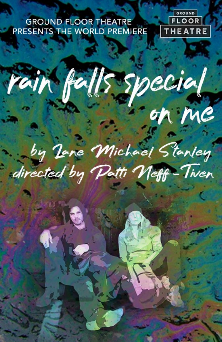## **GROUND FLOOR THEATRE** PRESENTS THE WORLD PREMIERE

J.



rain falls special

by Jane Michael Stanley directed by Patti Neff-Tiven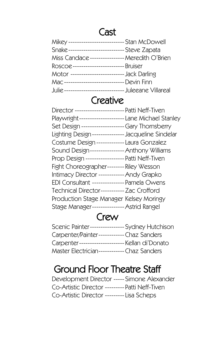# **Cast**

| Snake-------------------------- Steve Zapata          |  |
|-------------------------------------------------------|--|
| Miss Candace --------------- Meredith O'Brien         |  |
| ROSCOE------------------------- Bruiser               |  |
| Motor ------------------------- Jack Darling          |  |
| Mac ---------------------------- Devin Finn           |  |
| Julie ---------------------------- Juleeane Villareal |  |

# **Creative**

| Playwright-------------------- Lane Michael Stanley |  |
|-----------------------------------------------------|--|
| Set Design -------------------Gary Thornsberry      |  |
| Lighting Design --------------- Jacqueline Sindelar |  |
| Costume Design ------------- Laura Gonzalez         |  |
| Sound Design---------------- Anthony Williams       |  |
| Prop Design ----------------- Patti Neff-Tiven      |  |
| Fight Choreographer-------- Riley Wesson            |  |
| Intimacy Director ------------ Andy Grapko          |  |
| EDI Consultant --------------- Pamela Owens         |  |
| Technical Director----------- Zac Crofford          |  |
| Production Stage Manager Kelsey Moringy             |  |
| Stage Manager-------------- Astrid Rangel           |  |

# Crew

| Scenic Painter---------------- Sydney Hutchison |  |
|-------------------------------------------------|--|
| Carpenter/Painter------------Chaz Sanders       |  |
| Carpenter--------------------- Kellan di'Donato |  |
| Master Electrician------------ Chaz Sanders     |  |

# Ground Floor Theatre Staff

Development Director ----- Simone Alexander Co-Artistic Director --------- Patti Neff-Tiven Co-Artistic Director ---------Lisa Scheps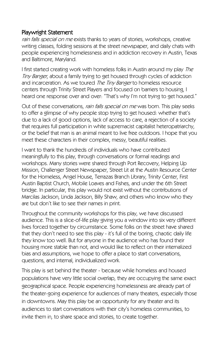#### Playwright Statement

rain falls special on me exists thanks to years of stories, workshops, creative writing classes, folding sessions at the street newspaper, and daily chats with people experiencing homelessness and in addiction recovery in Austin, Texas and Baltimore, Maryland.

I first started creating work with homeless folks in Austin around my play The Tiny Banger, about a family trying to get housed through cycles of addiction and incarceration. As we toured The Tiny Banger to homeless resource centers through Trinity Street Players and focused on barriers to housing, I heard one response over and over: "That's why I'm not trying to get housed."

Out of these conversations, rain falls special on me was born. This play seeks to offer a glimpse of why people stop trying to get housed: whether that's due to a lack of good options, lack of access to care, a rejection of a society that requires full participation in white supremacist capitalist heteropatriarchy, or the belief that man is an animal meant to live free outdoors. I hope that you meet these characters in their complex, messy, beautiful realities.

I want to thank the hundreds of individuals who have contributed meaningfully to this play, through conversations or formal readings and workshops. Many stories were shared through Port Recovery, Helping Up Mission, Challenger Street Newspaper, Street Lit at the Austin Resource Center for the Homeless, Angel House, Terrazas Branch Library, Trinity Center, First Austin Baptist Church, Mobile Loaves and Fishes, and under the 6th Street bridge. In particular, this play would not exist without the contributions of Marcilas Jackson, Linda Jackson, Billy Shaw, and others who know who they are but don't like to see their names in print.

Throughout the community workshops for this play, we have discussed audience. This is a slice-of-life play giving you a window into six very different lives forced together by circumstance. Some folks on the street have shared that they don't need to see this play - it's full of the boring, chaotic daily life they know too well. But for anyone in the audience who has found their housing more stable than not, and would like to reflect on their internalized bias and assumptions, we hope to offer a place to start conversations, questions, and internal, individualized work.

This play is set behind the theater - because while homeless and housed populations have very little social overlap, they are occupying the same exact geographical space. People experiencing homelessness are already part of the theater-going experience for audiences of many theaters, especially those in downtowns. May this play be an opportunity for any theater and its audiences to start conversations with their city's homeless communities, to invite them in, to share space and stories, to create together.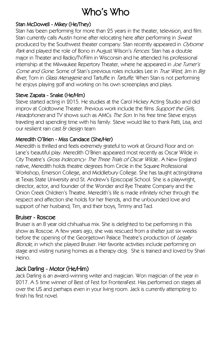# Who's Who

#### Stan McDowell - Mikey (He/They)

Stan has been performing for more than 25 years in the theater, television, and film. Stan currently calls Austin home after relocating here after performing in Sweat produced by the Southwest theater company. Stan recently appeared in Clyborne Park and played the role of Bono in August Wilson's Fences. Stan has a double major in Theater and Radio/TV/Film in Wisconsin and he attended his professional internship at the Milwaukee Repertory Theater, where he appeared in Joe Turner's Come and Gone. Some of Stan's previous roles includes Lee in True West, Jim in Big River, Tom in Glass Menagerie and Tartuffe in Tartuffe. When Stan is not performing he enjoys playing golf and working on his own screenplays and plays.

#### Steve Zapata - Snake (He/Him)

Steve started acting in 2015. He studies at the Carol Hickey Acting Studio and did improv at Coldtowne Theater. Previous work include the films Support the Girls, Headphones and TV shows such as AMCs The Son. In his free time Steve enjoys traveling and spending time with his family. Steve would like to thank Patti, Lisa, and our resilient rain cast & design team

#### Meredith O'Brien - Miss Candace (She/Her)

Meredith is thrilled and feels extremely grateful to work at Ground Floor and on Lane's beautiful play. Meredith O'Brien appeared most recently as Oscar Wilde in City Theatre's Gross Indecency: The Three Trials of Oscar Wilde.. A New England native, Meredith holds theatre degrees from Circle in the Square Professional Workshop, Emerson College, and Middlebury College. She has taught acting/drama at Texas State University and St. Andrew's Episcopal School. She is a playwright, director, actor, and founder of the Wonder and Rye Theatre Company and the Onion Creek Children's Theatre. Meredith's life is made infinitely richer through the respect and affection she holds for her friends, and the unbounded love and support of her husband, Tim, and their boys, Timmy and Tad.

#### Bruiser - Roscoe

Bruiser is an 8 year old chihuahua mix. She is delighted to be performing in this show as Roscoe. A few years ago, she was rescued from a shelter just six weeks before the opening of the Georgetown Palace Theatre's production of Legally Blonde, in which she played Bruiser. Her favorite activities include performing on stage and visiting nursing homes as a therapy dog. She is trained and loved by Shari Heino.

#### Jack Darling - Motor (He/Him)

Jack Darling is an award-winning writer and magician. Won magician of the year in 2017. A 5 time winner of Best of Fest for FronteraFest. Has performed on stages all over the US and perhaps even in your living room. Jack is currently attempting to finish his first novel.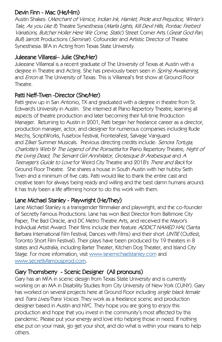## Devin Finn - Mac (He/Him)

Austin Shakes: (Merchant of Venice, Indian Ink, Hamlet, Pride and Prejudice, Winter's Tale, As you Like It) Theatre Synesthesia (Marfa Lights, Kill Devil Hills, Pontiac Firebird Variations, Butcher Holler Here We Come, Static) Street Corner Arts (Great God Pan, Bull) Jarrott Productions (Seminar). Cofounder and Artistic Director of Theatre. Synesthesia. BFA in Acting from Texas State University.

### Juleeane Villareal– Julie (She/Her)

Juleeane Villarreal is a recent graduate of The University of Texas at Austin with a degree in Theatre and Acting. She has previously been seen in Spring Awakening, and Enron at The University of Texas. This is Villarreal's first show at Ground Floor **Theatre** 

### Patti Neff-Tiven -Director (She/Her)

Patti grew up in San Antonio, TX and graduated with a degree in theatre from St. Edward's University in Austin. She interned at Plano Repertory Theatre, learning all aspects of theatre production and later becoming their full-time Production Manager. Returning to Austin in 2001, Patti began her freelance career as a director, production manager, actor, and designer for numerous companies including Rude Mechs, ScriptWorks, Fusebox Festival, FronteraFest, Salvage Vanguard and Zilker Summer Musicals. Previous directing credits include: Senora Tortuga, Charlotte's Web & The Legend of the Poinsettia for Plano Repertory Theatre; Night of the Living Dead, The Servant Girl Annihilator, Grotesque & Arabesque and A Teenager's Guide to Love for Weird City Theatre and 2018's There and Back for Ground Floor Theatre. She shares a house in South Austin with her hubby Seth Tiven and a minimum of five cats. Patti would like to thank the entire cast and creative team for always being ready and willing and the best damn humans around. It has truly been a life affirming honor to do this work with them.

## Lane Michael Stanley - Playwright (He/They)

Lane Michael Stanley is a transgender filmmaker and playwright, and the co-founder of Secretly Famous Productions. Lane has won Best Director from Baltimore City Paper, The Bad Oracle, and DC Metro Theatre Arts, and received the Mayor's Individual Artist Award. Their films include their feature ADDICT NAMED HAL (Santa Barbara International Film Festival, Dances with Films) and their short UNTIE (Outfest, Toronto Short Film Festival). Their plays have been produced by 19 theaters in 8 states and Australia, including Barter Theater, Kitchen Dog Theater, and Island City Stage. For more information, visit [www.lanemichaelstanley.com](http://www.lanemichaelstanley.com/) and [www.secretlyfamousprod.com](http://www.secretlyfamousprod.com/).

#### Gary Thornsberry - Scenic Designer (All pronouns)

Gary has an MFA in scenic design from Texas State University and is currently working on an MA in Disability Studies from City University of New York (CUNY). Gary has worked on several projects here at Ground Floor including single black female and *Trans Lives/Trans Voices*. They work as a freelance scenic and production designer based in Austin and NYC. They hope you are going to enjoy this production and hope that you invest in the community's most affected by this pandemic. Please put your energy and love into helping those in need. If nothing else put on your mask, go get your shot, and do what is within your means to help others.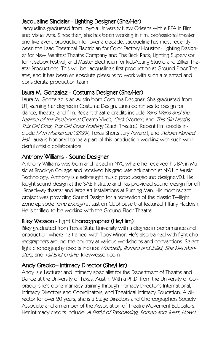#### Jacqueline Sindelar - Lighting Designer (She/Her)

Jacqueline graduated from Loyola University New Orleans with a BFA in Film and Visual Arts. Since then, she has been working in film, professional theater and live event production for over a decade. Jacqueline has most recently been the Lead Theatrical Electrician for Color Factory Houston; Lighting Designer for New Manifest Theatre Company and The Back Pack; Lighting Supervisor for Fusebox Festival; and Master Electrician for kidsActing Studio and Zilker Theater Productions. This will be Jacqueline's first production at Ground Floor Theatre, and it has been an absolute pleasure to work with such a talented and considerate production team

### Laura M. Gonzalez - Costume Designer (She/Her)

Laura M. Gonzalez is an Austin born Costume Designer. She graduated from UT, earning her degree in Costume Design, Laura continues to design for dance, theatre, and film. Recent theatre credits include Yana Wana and the Legend of the Bluebonnet (Teatro Vivo), Click (Vortex) and This Girl Laughs, This Girl Cries, This Girl Does Nothing (Zach Theatre). Recent film credits include I Am Mackenzie (SXSW, Texas Shorts Jury Award), and Addict Named Hal. Laura is honored to be a part of this production working with such wonderful artistic collaborators!

#### Anthony Williams - Sound Designer

Anthony Williams was born and raised in NYC where he received his BA in Music at Brooklyn College and received his graduate education at NYU in Music Technology. Anthony is a self-taught music producer/sound designer/DJ. He taught sound design at the SAE Institute and has provided sound design for off -Broadway theater and large art installations at Burning Man. His most recent project was providing Sound Design for a recreation of the classic Twilight Zone episode Time Enough at Last on Clubhouse that featured Tiffany Haddish. He is thrilled to be working with the Ground Floor Theatre

#### Riley Wesson - Fight Choreographer (He/Him)

Riley graduated from Texas State University with a degree in performance and production where he trained with Toby Minor. He's also trained with fight choreographers around the country at various workshops and conventions. Select fight choreography credits include Macbeth, Romeo and Juliet, She Kills Monsters, and Tail End Charlie. Rileywesson.com

#### Andy Grapko– Intimacy Director (She/Her)

Andy is a Lecturer and intimacy specialist for the Department of Theatre and Dance at the University of Texas, Austin. With a Ph.D. from the University of Colorado, she's done intimacy training through Intimacy Director's International, Intimacy Directors and Coordinators, and Theatrical Intimacy Education. A director for over 20 years, she is a Stage Directors and Choreographers Society Associate and a member of the Association of Theatre Movement Educators. Her intimacy credits include: A Fistful of Trespassing, Romeo and Juliet, How I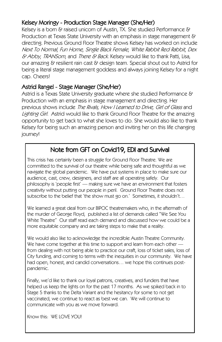#### Kelsey Moringy - Production Stage Manager (She/Her)

Kelsey is a born & raised unicorn of Austin, TX. She studied Performance & Production at Texas State University with an emphasis in stage management & directing. Previous Ground Floor Theatre shows Kelsey has worked on include Next To Normal, Fun Home, Single Black Female, White Rabbit Red Rabbit, Dex  $\&$  Abby, TRANSom, and There  $\&$  Back. Kelsey would like to thank Patti, Lisa, our amazing & resilient rain cast & design team. Special shout out to Astrid for being a literal stage management goddess and always joining Kelsey for a night cap. Cheers!

#### Astrid Rangel - Stage Manager (She/Her)

Astrid is a Texas State University graduate where she studied Performance & Production with an emphasis in stage management and directing. Her previous shows include The Rivals, How I Learned to Drive, Girl of Glass and Lighting Girl. Astrid would like to thank Ground Floor Theatre for the amazing opportunity to get back to what she loves to do. She would also like to thank Kelsey for being such an amazing person and inviting her on this life changing journey!

## Note from GFT on Covid19, EDI and Survival

This crisis has certainly been a struggle for Ground Floor Theatre. We are committed to the survival of our theatre while being safe and thoughtful as we navigate the global pandemic. We have put systems in place to make sure our audience, cast, crew, designers, and staff are all operating safely. Our philosophy is 'people first' — making sure we have an environment that fosters creativity without putting our people in peril. Ground Floor Theatre does not subscribe to the belief that 'the show must go on.' Sometimes, it shouldn't...

We learned a great deal from our BIPOC theatremakers who, in the aftermath of the murder of George Floyd, published a list of demands called "We See You White Theatre" Our staff read each demand and discussed how we could be a more equitable company and are taking steps to make that a reality.

We would also like to acknowledge the incredible Austin Theatre Community. We have come together at this time to support and learn from each other from dealing with not being able to practice our craft, loss of ticket sales, loss of City funding, and coming to terms with the inequities in our community. We have had open, honest, and candid conversations… we hope this continues postpandemic.

Finally, we'd like to thank our loyal patrons, creatives, and funders that have helped us keep the lights on for the past 17 months. As we spiked back in to Stage 5 thanks to the Delta Variant and the hesitancy for some to not get vaccinated, we continue to react as best we can. We will continue to communicate with you as we move forward.

Know this: WE LOVE YOU!